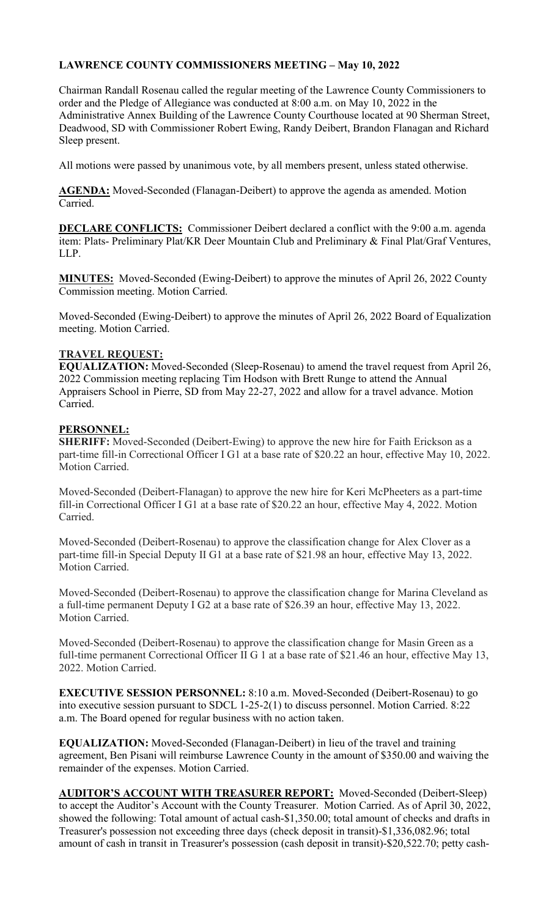## **LAWRENCE COUNTY COMMISSIONERS MEETING – May 10, 2022**

Chairman Randall Rosenau called the regular meeting of the Lawrence County Commissioners to order and the Pledge of Allegiance was conducted at 8:00 a.m. on May 10, 2022 in the Administrative Annex Building of the Lawrence County Courthouse located at 90 Sherman Street, Deadwood, SD with Commissioner Robert Ewing, Randy Deibert, Brandon Flanagan and Richard Sleep present.

All motions were passed by unanimous vote, by all members present, unless stated otherwise.

**AGENDA:** Moved-Seconded (Flanagan-Deibert) to approve the agenda as amended. Motion Carried.

**DECLARE CONFLICTS:** Commissioner Deibert declared a conflict with the 9:00 a.m. agenda item: Plats- Preliminary Plat/KR Deer Mountain Club and Preliminary & Final Plat/Graf Ventures, LLP.

**MINUTES:** Moved-Seconded (Ewing-Deibert) to approve the minutes of April 26, 2022 County Commission meeting. Motion Carried.

Moved-Seconded (Ewing-Deibert) to approve the minutes of April 26, 2022 Board of Equalization meeting. Motion Carried.

## **TRAVEL REQUEST:**

**EQUALIZATION:** Moved-Seconded (Sleep-Rosenau) to amend the travel request from April 26, 2022 Commission meeting replacing Tim Hodson with Brett Runge to attend the Annual Appraisers School in Pierre, SD from May 22-27, 2022 and allow for a travel advance. Motion Carried.

## **PERSONNEL:**

**SHERIFF:** Moved-Seconded (Deibert-Ewing) to approve the new hire for Faith Erickson as a part-time fill-in Correctional Officer I G1 at a base rate of \$20.22 an hour, effective May 10, 2022. Motion Carried.

Moved-Seconded (Deibert-Flanagan) to approve the new hire for Keri McPheeters as a part-time fill-in Correctional Officer I G1 at a base rate of \$20.22 an hour, effective May 4, 2022. Motion Carried.

Moved-Seconded (Deibert-Rosenau) to approve the classification change for Alex Clover as a part-time fill-in Special Deputy II G1 at a base rate of \$21.98 an hour, effective May 13, 2022. Motion Carried.

Moved-Seconded (Deibert-Rosenau) to approve the classification change for Marina Cleveland as a full-time permanent Deputy I G2 at a base rate of \$26.39 an hour, effective May 13, 2022. Motion Carried.

Moved-Seconded (Deibert-Rosenau) to approve the classification change for Masin Green as a full-time permanent Correctional Officer II G 1 at a base rate of \$21.46 an hour, effective May 13, 2022. Motion Carried.

**EXECUTIVE SESSION PERSONNEL:** 8:10 a.m. Moved-Seconded (Deibert-Rosenau) to go into executive session pursuant to SDCL 1-25-2(1) to discuss personnel. Motion Carried. 8:22 a.m. The Board opened for regular business with no action taken.

**EQUALIZATION:** Moved-Seconded (Flanagan-Deibert) in lieu of the travel and training agreement, Ben Pisani will reimburse Lawrence County in the amount of \$350.00 and waiving the remainder of the expenses. Motion Carried.

**AUDITOR'S ACCOUNT WITH TREASURER REPORT:** Moved-Seconded (Deibert-Sleep) to accept the Auditor's Account with the County Treasurer. Motion Carried. As of April 30, 2022, showed the following: Total amount of actual cash-\$1,350.00; total amount of checks and drafts in Treasurer's possession not exceeding three days (check deposit in transit)-\$1,336,082.96; total amount of cash in transit in Treasurer's possession (cash deposit in transit)-\$20,522.70; petty cash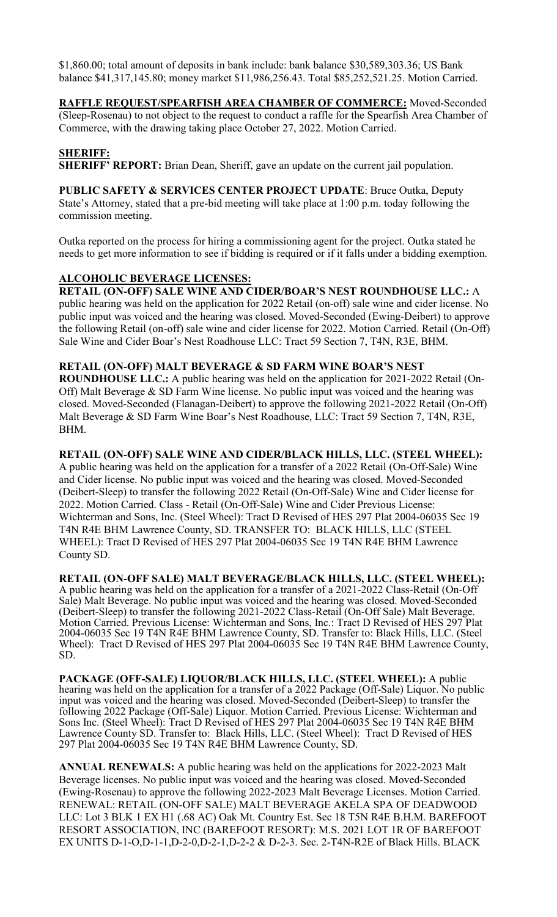\$1,860.00; total amount of deposits in bank include: bank balance \$30,589,303.36; US Bank balance \$41,317,145.80; money market \$11,986,256.43. Total \$85,252,521.25. Motion Carried.

**RAFFLE REQUEST/SPEARFISH AREA CHAMBER OF COMMERCE:** Moved-Seconded (Sleep-Rosenau) to not object to the request to conduct a raffle for the Spearfish Area Chamber of Commerce, with the drawing taking place October 27, 2022. Motion Carried.

## **SHERIFF:**

**SHERIFF' REPORT:** Brian Dean, Sheriff, gave an update on the current jail population.

**PUBLIC SAFETY & SERVICES CENTER PROJECT UPDATE**: Bruce Outka, Deputy State's Attorney, stated that a pre-bid meeting will take place at 1:00 p.m. today following the commission meeting.

Outka reported on the process for hiring a commissioning agent for the project. Outka stated he needs to get more information to see if bidding is required or if it falls under a bidding exemption.

### **ALCOHOLIC BEVERAGE LICENSES:**

**RETAIL (ON-OFF) SALE WINE AND CIDER/BOAR'S NEST ROUNDHOUSE LLC.:** A public hearing was held on the application for 2022 Retail (on-off) sale wine and cider license. No public input was voiced and the hearing was closed. Moved-Seconded (Ewing-Deibert) to approve the following Retail (on-off) sale wine and cider license for 2022. Motion Carried. Retail (On-Off) Sale Wine and Cider Boar's Nest Roadhouse LLC: Tract 59 Section 7, T4N, R3E, BHM.

### **RETAIL (ON-OFF) MALT BEVERAGE & SD FARM WINE BOAR'S NEST**

**ROUNDHOUSE LLC.:** A public hearing was held on the application for 2021-2022 Retail (On-Off) Malt Beverage & SD Farm Wine license. No public input was voiced and the hearing was closed. Moved-Seconded (Flanagan-Deibert) to approve the following 2021-2022 Retail (On-Off) Malt Beverage & SD Farm Wine Boar's Nest Roadhouse, LLC: Tract 59 Section 7, T4N, R3E, BHM.

### **RETAIL (ON-OFF) SALE WINE AND CIDER/BLACK HILLS, LLC. (STEEL WHEEL):**

A public hearing was held on the application for a transfer of a 2022 Retail (On-Off-Sale) Wine and Cider license. No public input was voiced and the hearing was closed. Moved-Seconded (Deibert-Sleep) to transfer the following 2022 Retail (On-Off-Sale) Wine and Cider license for 2022. Motion Carried. Class - Retail (On-Off-Sale) Wine and Cider Previous License: Wichterman and Sons, Inc. (Steel Wheel): Tract D Revised of HES 297 Plat 2004-06035 Sec 19 T4N R4E BHM Lawrence County, SD. TRANSFER TO: BLACK HILLS, LLC (STEEL WHEEL): Tract D Revised of HES 297 Plat 2004-06035 Sec 19 T4N R4E BHM Lawrence County SD.

**RETAIL (ON-OFF SALE) MALT BEVERAGE/BLACK HILLS, LLC. (STEEL WHEEL):**  A public hearing was held on the application for a transfer of a 2021-2022 Class-Retail (On-Off Sale) Malt Beverage. No public input was voiced and the hearing was closed. Moved-Seconded (Deibert-Sleep) to transfer the following 2021-2022 Class-Retail (On-Off Sale) Malt Beverage. Motion Carried. Previous License: Wichterman and Sons, Inc.: Tract D Revised of HES 297 Plat 2004-06035 Sec 19 T4N R4E BHM Lawrence County, SD. Transfer to: Black Hills, LLC. (Steel Wheel): Tract D Revised of HES 297 Plat 2004-06035 Sec 19 T4N R4E BHM Lawrence County, SD.

**PACKAGE (OFF-SALE) LIQUOR/BLACK HILLS, LLC. (STEEL WHEEL):** A public hearing was held on the application for a transfer of a 2022 Package (Off-Sale) Liquor. No public input was voiced and the hearing was closed. Moved-Seconded (Deibert-Sleep) to transfer the following 2022 Package (Off-Sale) Liquor. Motion Carried. Previous License: Wichterman and Sons Inc. (Steel Wheel): Tract D Revised of HES 297 Plat 2004-06035 Sec 19 T4N R4E BHM Lawrence County SD. Transfer to: Black Hills, LLC. (Steel Wheel): Tract D Revised of HES 297 Plat 2004-06035 Sec 19 T4N R4E BHM Lawrence County, SD.

**ANNUAL RENEWALS:** A public hearing was held on the applications for 2022-2023 Malt Beverage licenses. No public input was voiced and the hearing was closed. Moved-Seconded (Ewing-Rosenau) to approve the following 2022-2023 Malt Beverage Licenses. Motion Carried. RENEWAL: RETAIL (ON-OFF SALE) MALT BEVERAGE AKELA SPA OF DEADWOOD LLC: Lot 3 BLK 1 EX H1 (.68 AC) Oak Mt. Country Est. Sec 18 T5N R4E B.H.M. BAREFOOT RESORT ASSOCIATION, INC (BAREFOOT RESORT): M.S. 2021 LOT 1R OF BAREFOOT EX UNITS D-1-O,D-1-1,D-2-0,D-2-1,D-2-2 & D-2-3. Sec. 2-T4N-R2E of Black Hills. BLACK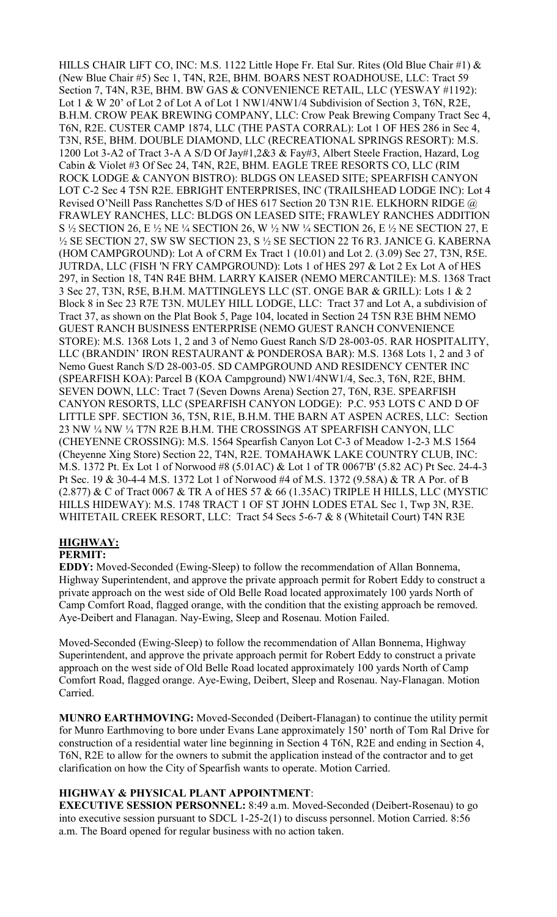HILLS CHAIR LIFT CO, INC: M.S. 1122 Little Hope Fr. Etal Sur. Rites (Old Blue Chair #1) & (New Blue Chair #5) Sec 1, T4N, R2E, BHM. BOARS NEST ROADHOUSE, LLC: Tract 59 Section 7, T4N, R3E, BHM. BW GAS & CONVENIENCE RETAIL, LLC (YESWAY #1192): Lot 1 & W 20' of Lot 2 of Lot A of Lot 1 NW1/4NW1/4 Subdivision of Section 3, T6N, R2E, B.H.M. CROW PEAK BREWING COMPANY, LLC: Crow Peak Brewing Company Tract Sec 4, T6N, R2E. CUSTER CAMP 1874, LLC (THE PASTA CORRAL): Lot 1 OF HES 286 in Sec 4, T3N, R5E, BHM. DOUBLE DIAMOND, LLC (RECREATIONAL SPRINGS RESORT): M.S. 1200 Lot 3-A2 of Tract 3-A A S/D Of Jay#1,2&3 & Fay#3, Albert Steele Fraction, Hazard, Log Cabin & Violet #3 Of Sec 24, T4N, R2E, BHM. EAGLE TREE RESORTS CO, LLC (RIM ROCK LODGE & CANYON BISTRO): BLDGS ON LEASED SITE; SPEARFISH CANYON LOT C-2 Sec 4 T5N R2E. EBRIGHT ENTERPRISES, INC (TRAILSHEAD LODGE INC): Lot 4 Revised O'Neill Pass Ranchettes S/D of HES 617 Section 20 T3N R1E. ELKHORN RIDGE @ FRAWLEY RANCHES, LLC: BLDGS ON LEASED SITE; FRAWLEY RANCHES ADDITION S ½ SECTION 26, E ½ NE ¼ SECTION 26, W ½ NW ¼ SECTION 26, E ½ NE SECTION 27, E ½ SE SECTION 27, SW SW SECTION 23, S ½ SE SECTION 22 T6 R3. JANICE G. KABERNA (HOM CAMPGROUND): Lot A of CRM Ex Tract 1 (10.01) and Lot 2. (3.09) Sec 27, T3N, R5E. JUTRDA, LLC (FISH 'N FRY CAMPGROUND): Lots 1 of HES 297 & Lot 2 Ex Lot A of HES 297, in Section 18, T4N R4E BHM. LARRY KAISER (NEMO MERCANTILE): M.S. 1368 Tract 3 Sec 27, T3N, R5E, B.H.M. MATTINGLEYS LLC (ST. ONGE BAR & GRILL): Lots 1 & 2 Block 8 in Sec 23 R7E T3N. MULEY HILL LODGE, LLC: Tract 37 and Lot A, a subdivision of Tract 37, as shown on the Plat Book 5, Page 104, located in Section 24 T5N R3E BHM NEMO GUEST RANCH BUSINESS ENTERPRISE (NEMO GUEST RANCH CONVENIENCE STORE): M.S. 1368 Lots 1, 2 and 3 of Nemo Guest Ranch S/D 28-003-05. RAR HOSPITALITY, LLC (BRANDIN' IRON RESTAURANT & PONDEROSA BAR): M.S. 1368 Lots 1, 2 and 3 of Nemo Guest Ranch S/D 28-003-05. SD CAMPGROUND AND RESIDENCY CENTER INC (SPEARFISH KOA): Parcel B (KOA Campground) NW1/4NW1/4, Sec.3, T6N, R2E, BHM. SEVEN DOWN, LLC: Tract 7 (Seven Downs Arena) Section 27, T6N, R3E. SPEARFISH CANYON RESORTS, LLC (SPEARFISH CANYON LODGE): P.C. 953 LOTS C AND D OF LITTLE SPF. SECTION 36, T5N, R1E, B.H.M. THE BARN AT ASPEN ACRES, LLC: Section 23 NW ¼ NW ¼ T7N R2E B.H.M. THE CROSSINGS AT SPEARFISH CANYON, LLC (CHEYENNE CROSSING): M.S. 1564 Spearfish Canyon Lot C-3 of Meadow 1-2-3 M.S 1564 (Cheyenne Xing Store) Section 22, T4N, R2E. TOMAHAWK LAKE COUNTRY CLUB, INC: M.S. 1372 Pt. Ex Lot 1 of Norwood #8 (5.01AC) & Lot 1 of TR 0067'B' (5.82 AC) Pt Sec. 24-4-3 Pt Sec. 19 & 30-4-4 M.S. 1372 Lot 1 of Norwood #4 of M.S. 1372 (9.58A) & TR A Por. of B (2.877) & C of Tract 0067 & TR A of HES 57 & 66 (1.35AC) TRIPLE H HILLS, LLC (MYSTIC HILLS HIDEWAY): M.S. 1748 TRACT 1 OF ST JOHN LODES ETAL Sec 1, Twp 3N, R3E. WHITETAIL CREEK RESORT, LLC: Tract 54 Secs 5-6-7 & 8 (Whitetail Court) T4N R3E

#### **HIGHWAY: PERMIT:**

**EDDY:** Moved-Seconded (Ewing-Sleep) to follow the recommendation of Allan Bonnema, Highway Superintendent, and approve the private approach permit for Robert Eddy to construct a private approach on the west side of Old Belle Road located approximately 100 yards North of Camp Comfort Road, flagged orange, with the condition that the existing approach be removed. Aye-Deibert and Flanagan. Nay-Ewing, Sleep and Rosenau. Motion Failed.

Moved-Seconded (Ewing-Sleep) to follow the recommendation of Allan Bonnema, Highway Superintendent, and approve the private approach permit for Robert Eddy to construct a private approach on the west side of Old Belle Road located approximately 100 yards North of Camp Comfort Road, flagged orange. Aye-Ewing, Deibert, Sleep and Rosenau. Nay-Flanagan. Motion Carried.

**MUNRO EARTHMOVING:** Moved-Seconded (Deibert-Flanagan) to continue the utility permit for Munro Earthmoving to bore under Evans Lane approximately 150' north of Tom Ral Drive for construction of a residential water line beginning in Section 4 T6N, R2E and ending in Section 4, T6N, R2E to allow for the owners to submit the application instead of the contractor and to get clarification on how the City of Spearfish wants to operate. Motion Carried.

## **HIGHWAY & PHYSICAL PLANT APPOINTMENT**:

**EXECUTIVE SESSION PERSONNEL:** 8:49 a.m. Moved-Seconded (Deibert-Rosenau) to go into executive session pursuant to SDCL 1-25-2(1) to discuss personnel. Motion Carried. 8:56 a.m. The Board opened for regular business with no action taken.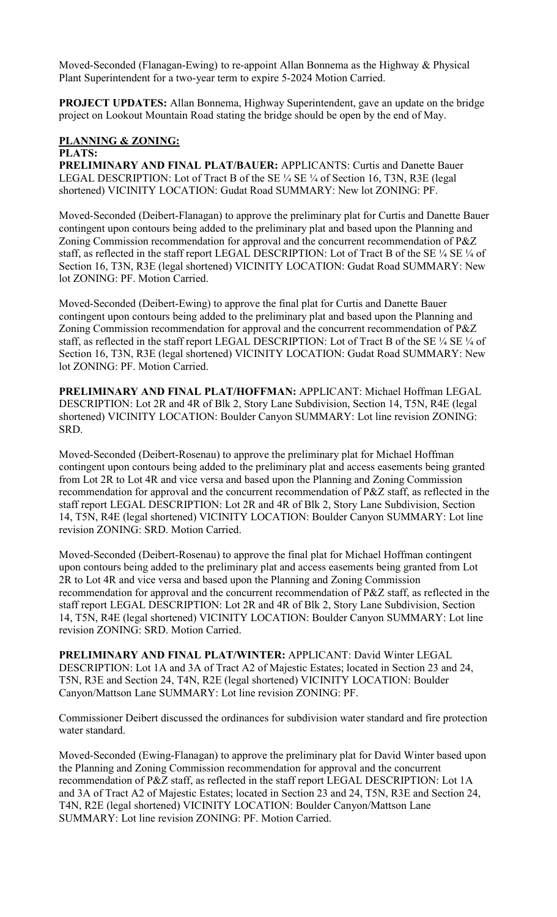Moved-Seconded (Flanagan-Ewing) to re-appoint Allan Bonnema as the Highway & Physical Plant Superintendent for a two-year term to expire 5-2024 Motion Carried.

**PROJECT UPDATES:** Allan Bonnema, Highway Superintendent, gave an update on the bridge project on Lookout Mountain Road stating the bridge should be open by the end of May.

# **PLANNING & ZONING:**

## **PLATS:**

**PRELIMINARY AND FINAL PLAT/BAUER:** APPLICANTS: Curtis and Danette Bauer LEGAL DESCRIPTION: Lot of Tract B of the SE ¼ SE ¼ of Section 16, T3N, R3E (legal shortened) VICINITY LOCATION: Gudat Road SUMMARY: New lot ZONING: PF.

Moved-Seconded (Deibert-Flanagan) to approve the preliminary plat for Curtis and Danette Bauer contingent upon contours being added to the preliminary plat and based upon the Planning and Zoning Commission recommendation for approval and the concurrent recommendation of P&Z staff, as reflected in the staff report LEGAL DESCRIPTION: Lot of Tract B of the SE  $\frac{1}{4}$  SE  $\frac{1}{4}$  of Section 16, T3N, R3E (legal shortened) VICINITY LOCATION: Gudat Road SUMMARY: New lot ZONING: PF. Motion Carried.

Moved-Seconded (Deibert-Ewing) to approve the final plat for Curtis and Danette Bauer contingent upon contours being added to the preliminary plat and based upon the Planning and Zoning Commission recommendation for approval and the concurrent recommendation of P&Z staff, as reflected in the staff report LEGAL DESCRIPTION: Lot of Tract B of the SE 1/4 SE 1/4 of Section 16, T3N, R3E (legal shortened) VICINITY LOCATION: Gudat Road SUMMARY: New lot ZONING: PF. Motion Carried.

**PRELIMINARY AND FINAL PLAT/HOFFMAN:** APPLICANT: Michael Hoffman LEGAL DESCRIPTION: Lot 2R and 4R of Blk 2, Story Lane Subdivision, Section 14, T5N, R4E (legal shortened) VICINITY LOCATION: Boulder Canyon SUMMARY: Lot line revision ZONING: SRD.

Moved-Seconded (Deibert-Rosenau) to approve the preliminary plat for Michael Hoffman contingent upon contours being added to the preliminary plat and access easements being granted from Lot 2R to Lot 4R and vice versa and based upon the Planning and Zoning Commission recommendation for approval and the concurrent recommendation of P&Z staff, as reflected in the staff report LEGAL DESCRIPTION: Lot 2R and 4R of Blk 2, Story Lane Subdivision, Section 14, T5N, R4E (legal shortened) VICINITY LOCATION: Boulder Canyon SUMMARY: Lot line revision ZONING: SRD. Motion Carried.

Moved-Seconded (Deibert-Rosenau) to approve the final plat for Michael Hoffman contingent upon contours being added to the preliminary plat and access easements being granted from Lot 2R to Lot 4R and vice versa and based upon the Planning and Zoning Commission recommendation for approval and the concurrent recommendation of P&Z staff, as reflected in the staff report LEGAL DESCRIPTION: Lot 2R and 4R of Blk 2, Story Lane Subdivision, Section 14, T5N, R4E (legal shortened) VICINITY LOCATION: Boulder Canyon SUMMARY: Lot line revision ZONING: SRD. Motion Carried.

**PRELIMINARY AND FINAL PLAT/WINTER:** APPLICANT: David Winter LEGAL DESCRIPTION: Lot 1A and 3A of Tract A2 of Majestic Estates; located in Section 23 and 24, T5N, R3E and Section 24, T4N, R2E (legal shortened) VICINITY LOCATION: Boulder Canyon/Mattson Lane SUMMARY: Lot line revision ZONING: PF.

Commissioner Deibert discussed the ordinances for subdivision water standard and fire protection water standard.

Moved-Seconded (Ewing-Flanagan) to approve the preliminary plat for David Winter based upon the Planning and Zoning Commission recommendation for approval and the concurrent recommendation of P&Z staff, as reflected in the staff report LEGAL DESCRIPTION: Lot 1A and 3A of Tract A2 of Majestic Estates; located in Section 23 and 24, T5N, R3E and Section 24, T4N, R2E (legal shortened) VICINITY LOCATION: Boulder Canyon/Mattson Lane SUMMARY: Lot line revision ZONING: PF. Motion Carried.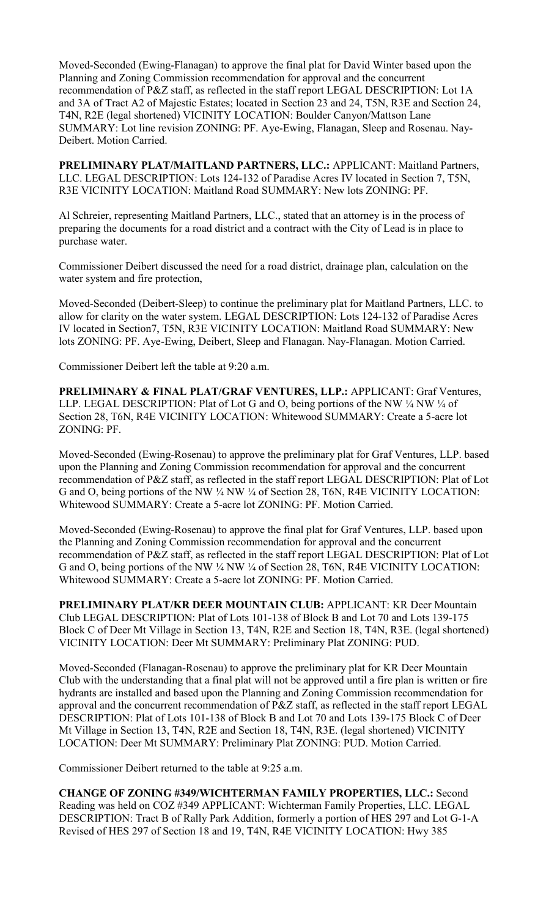Moved-Seconded (Ewing-Flanagan) to approve the final plat for David Winter based upon the Planning and Zoning Commission recommendation for approval and the concurrent recommendation of P&Z staff, as reflected in the staff report LEGAL DESCRIPTION: Lot 1A and 3A of Tract A2 of Majestic Estates; located in Section 23 and 24, T5N, R3E and Section 24, T4N, R2E (legal shortened) VICINITY LOCATION: Boulder Canyon/Mattson Lane SUMMARY: Lot line revision ZONING: PF. Aye-Ewing, Flanagan, Sleep and Rosenau. Nay-Deibert. Motion Carried.

**PRELIMINARY PLAT/MAITLAND PARTNERS, LLC.:** APPLICANT: Maitland Partners, LLC. LEGAL DESCRIPTION: Lots 124-132 of Paradise Acres IV located in Section 7, T5N, R3E VICINITY LOCATION: Maitland Road SUMMARY: New lots ZONING: PF.

Al Schreier, representing Maitland Partners, LLC., stated that an attorney is in the process of preparing the documents for a road district and a contract with the City of Lead is in place to purchase water.

Commissioner Deibert discussed the need for a road district, drainage plan, calculation on the water system and fire protection,

Moved-Seconded (Deibert-Sleep) to continue the preliminary plat for Maitland Partners, LLC. to allow for clarity on the water system. LEGAL DESCRIPTION: Lots 124-132 of Paradise Acres IV located in Section7, T5N, R3E VICINITY LOCATION: Maitland Road SUMMARY: New lots ZONING: PF. Aye-Ewing, Deibert, Sleep and Flanagan. Nay-Flanagan. Motion Carried.

Commissioner Deibert left the table at 9:20 a.m.

**PRELIMINARY & FINAL PLAT/GRAF VENTURES, LLP.:** APPLICANT: Graf Ventures, LLP. LEGAL DESCRIPTION: Plat of Lot G and O, being portions of the NW 1/4 NW 1/4 of Section 28, T6N, R4E VICINITY LOCATION: Whitewood SUMMARY: Create a 5-acre lot ZONING: PF.

Moved-Seconded (Ewing-Rosenau) to approve the preliminary plat for Graf Ventures, LLP. based upon the Planning and Zoning Commission recommendation for approval and the concurrent recommendation of P&Z staff, as reflected in the staff report LEGAL DESCRIPTION: Plat of Lot G and O, being portions of the NW ¼ NW ¼ of Section 28, T6N, R4E VICINITY LOCATION: Whitewood SUMMARY: Create a 5-acre lot ZONING: PF. Motion Carried.

Moved-Seconded (Ewing-Rosenau) to approve the final plat for Graf Ventures, LLP. based upon the Planning and Zoning Commission recommendation for approval and the concurrent recommendation of P&Z staff, as reflected in the staff report LEGAL DESCRIPTION: Plat of Lot G and O, being portions of the NW ¼ NW ¼ of Section 28, T6N, R4E VICINITY LOCATION: Whitewood SUMMARY: Create a 5-acre lot ZONING: PF. Motion Carried.

**PRELIMINARY PLAT/KR DEER MOUNTAIN CLUB:** APPLICANT: KR Deer Mountain Club LEGAL DESCRIPTION: Plat of Lots 101-138 of Block B and Lot 70 and Lots 139-175 Block C of Deer Mt Village in Section 13, T4N, R2E and Section 18, T4N, R3E. (legal shortened) VICINITY LOCATION: Deer Mt SUMMARY: Preliminary Plat ZONING: PUD.

Moved-Seconded (Flanagan-Rosenau) to approve the preliminary plat for KR Deer Mountain Club with the understanding that a final plat will not be approved until a fire plan is written or fire hydrants are installed and based upon the Planning and Zoning Commission recommendation for approval and the concurrent recommendation of P&Z staff, as reflected in the staff report LEGAL DESCRIPTION: Plat of Lots 101-138 of Block B and Lot 70 and Lots 139-175 Block C of Deer Mt Village in Section 13, T4N, R2E and Section 18, T4N, R3E. (legal shortened) VICINITY LOCATION: Deer Mt SUMMARY: Preliminary Plat ZONING: PUD. Motion Carried.

Commissioner Deibert returned to the table at 9:25 a.m.

**CHANGE OF ZONING #349/WICHTERMAN FAMILY PROPERTIES, LLC.:** Second Reading was held on COZ #349 APPLICANT: Wichterman Family Properties, LLC. LEGAL DESCRIPTION: Tract B of Rally Park Addition, formerly a portion of HES 297 and Lot G-1-A Revised of HES 297 of Section 18 and 19, T4N, R4E VICINITY LOCATION: Hwy 385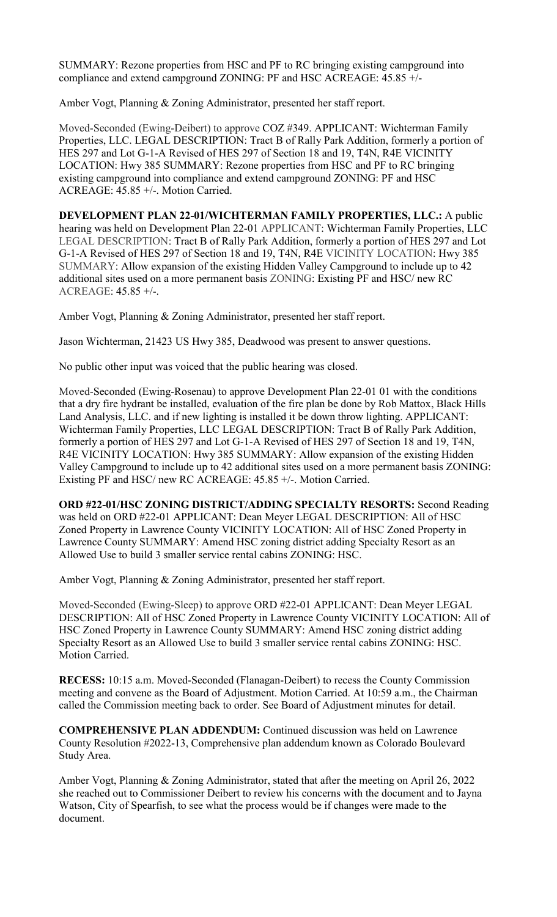SUMMARY: Rezone properties from HSC and PF to RC bringing existing campground into compliance and extend campground ZONING: PF and HSC ACREAGE: 45.85 +/-

Amber Vogt, Planning & Zoning Administrator, presented her staff report.

Moved-Seconded (Ewing-Deibert) to approve COZ #349. APPLICANT: Wichterman Family Properties, LLC. LEGAL DESCRIPTION: Tract B of Rally Park Addition, formerly a portion of HES 297 and Lot G-1-A Revised of HES 297 of Section 18 and 19, T4N, R4E VICINITY LOCATION: Hwy 385 SUMMARY: Rezone properties from HSC and PF to RC bringing existing campground into compliance and extend campground ZONING: PF and HSC ACREAGE: 45.85 +/-. Motion Carried.

**DEVELOPMENT PLAN 22-01/WICHTERMAN FAMILY PROPERTIES, LLC.:** A public hearing was held on Development Plan 22-01 APPLICANT: Wichterman Family Properties, LLC LEGAL DESCRIPTION: Tract B of Rally Park Addition, formerly a portion of HES 297 and Lot G-1-A Revised of HES 297 of Section 18 and 19, T4N, R4E VICINITY LOCATION: Hwy 385 SUMMARY: Allow expansion of the existing Hidden Valley Campground to include up to 42 additional sites used on a more permanent basis ZONING: Existing PF and HSC/ new RC ACREAGE: 45.85 +/-.

Amber Vogt, Planning & Zoning Administrator, presented her staff report.

Jason Wichterman, 21423 US Hwy 385, Deadwood was present to answer questions.

No public other input was voiced that the public hearing was closed.

Moved-Seconded (Ewing-Rosenau) to approve Development Plan 22-01 01 with the conditions that a dry fire hydrant be installed, evaluation of the fire plan be done by Rob Mattox, Black Hills Land Analysis, LLC. and if new lighting is installed it be down throw lighting. APPLICANT: Wichterman Family Properties, LLC LEGAL DESCRIPTION: Tract B of Rally Park Addition, formerly a portion of HES 297 and Lot G-1-A Revised of HES 297 of Section 18 and 19, T4N, R4E VICINITY LOCATION: Hwy 385 SUMMARY: Allow expansion of the existing Hidden Valley Campground to include up to 42 additional sites used on a more permanent basis ZONING: Existing PF and HSC/ new RC ACREAGE: 45.85 +/-. Motion Carried.

**ORD #22-01/HSC ZONING DISTRICT/ADDING SPECIALTY RESORTS:** Second Reading was held on ORD #22-01 APPLICANT: Dean Meyer LEGAL DESCRIPTION: All of HSC Zoned Property in Lawrence County VICINITY LOCATION: All of HSC Zoned Property in Lawrence County SUMMARY: Amend HSC zoning district adding Specialty Resort as an Allowed Use to build 3 smaller service rental cabins ZONING: HSC.

Amber Vogt, Planning & Zoning Administrator, presented her staff report.

Moved-Seconded (Ewing-Sleep) to approve ORD #22-01 APPLICANT: Dean Meyer LEGAL DESCRIPTION: All of HSC Zoned Property in Lawrence County VICINITY LOCATION: All of HSC Zoned Property in Lawrence County SUMMARY: Amend HSC zoning district adding Specialty Resort as an Allowed Use to build 3 smaller service rental cabins ZONING: HSC. Motion Carried.

**RECESS:** 10:15 a.m. Moved-Seconded (Flanagan-Deibert) to recess the County Commission meeting and convene as the Board of Adjustment. Motion Carried. At 10:59 a.m., the Chairman called the Commission meeting back to order. See Board of Adjustment minutes for detail.

**COMPREHENSIVE PLAN ADDENDUM:** Continued discussion was held on Lawrence County Resolution #2022-13, Comprehensive plan addendum known as Colorado Boulevard Study Area.

Amber Vogt, Planning & Zoning Administrator, stated that after the meeting on April 26, 2022 she reached out to Commissioner Deibert to review his concerns with the document and to Jayna Watson, City of Spearfish, to see what the process would be if changes were made to the document.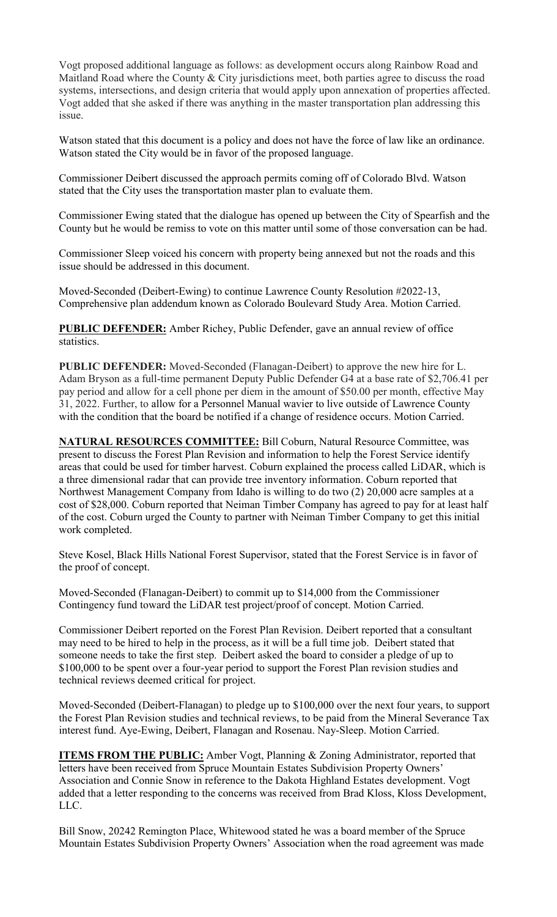Vogt proposed additional language as follows: as development occurs along Rainbow Road and Maitland Road where the County & City jurisdictions meet, both parties agree to discuss the road systems, intersections, and design criteria that would apply upon annexation of properties affected. Vogt added that she asked if there was anything in the master transportation plan addressing this issue.

Watson stated that this document is a policy and does not have the force of law like an ordinance. Watson stated the City would be in favor of the proposed language.

Commissioner Deibert discussed the approach permits coming off of Colorado Blvd. Watson stated that the City uses the transportation master plan to evaluate them.

Commissioner Ewing stated that the dialogue has opened up between the City of Spearfish and the County but he would be remiss to vote on this matter until some of those conversation can be had.

Commissioner Sleep voiced his concern with property being annexed but not the roads and this issue should be addressed in this document.

Moved-Seconded (Deibert-Ewing) to continue Lawrence County Resolution #2022-13, Comprehensive plan addendum known as Colorado Boulevard Study Area. Motion Carried.

**PUBLIC DEFENDER:** Amber Richey, Public Defender, gave an annual review of office statistics.

**PUBLIC DEFENDER:** Moved-Seconded (Flanagan-Deibert) to approve the new hire for L. Adam Bryson as a full-time permanent Deputy Public Defender G4 at a base rate of \$2,706.41 per pay period and allow for a cell phone per diem in the amount of \$50.00 per month, effective May 31, 2022. Further, to allow for a Personnel Manual wavier to live outside of Lawrence County with the condition that the board be notified if a change of residence occurs. Motion Carried.

**NATURAL RESOURCES COMMITTEE:** Bill Coburn, Natural Resource Committee, was present to discuss the Forest Plan Revision and information to help the Forest Service identify areas that could be used for timber harvest. Coburn explained the process called LiDAR, which is a three dimensional radar that can provide tree inventory information. Coburn reported that Northwest Management Company from Idaho is willing to do two (2) 20,000 acre samples at a cost of \$28,000. Coburn reported that Neiman Timber Company has agreed to pay for at least half of the cost. Coburn urged the County to partner with Neiman Timber Company to get this initial work completed.

Steve Kosel, Black Hills National Forest Supervisor, stated that the Forest Service is in favor of the proof of concept.

Moved-Seconded (Flanagan-Deibert) to commit up to \$14,000 from the Commissioner Contingency fund toward the LiDAR test project/proof of concept. Motion Carried.

Commissioner Deibert reported on the Forest Plan Revision. Deibert reported that a consultant may need to be hired to help in the process, as it will be a full time job. Deibert stated that someone needs to take the first step. Deibert asked the board to consider a pledge of up to \$100,000 to be spent over a four-year period to support the Forest Plan revision studies and technical reviews deemed critical for project.

Moved-Seconded (Deibert-Flanagan) to pledge up to \$100,000 over the next four years, to support the Forest Plan Revision studies and technical reviews, to be paid from the Mineral Severance Tax interest fund. Aye-Ewing, Deibert, Flanagan and Rosenau. Nay-Sleep. Motion Carried.

**ITEMS FROM THE PUBLIC:** Amber Vogt, Planning & Zoning Administrator, reported that letters have been received from Spruce Mountain Estates Subdivision Property Owners' Association and Connie Snow in reference to the Dakota Highland Estates development. Vogt added that a letter responding to the concerns was received from Brad Kloss, Kloss Development, LLC.

Bill Snow, 20242 Remington Place, Whitewood stated he was a board member of the Spruce Mountain Estates Subdivision Property Owners' Association when the road agreement was made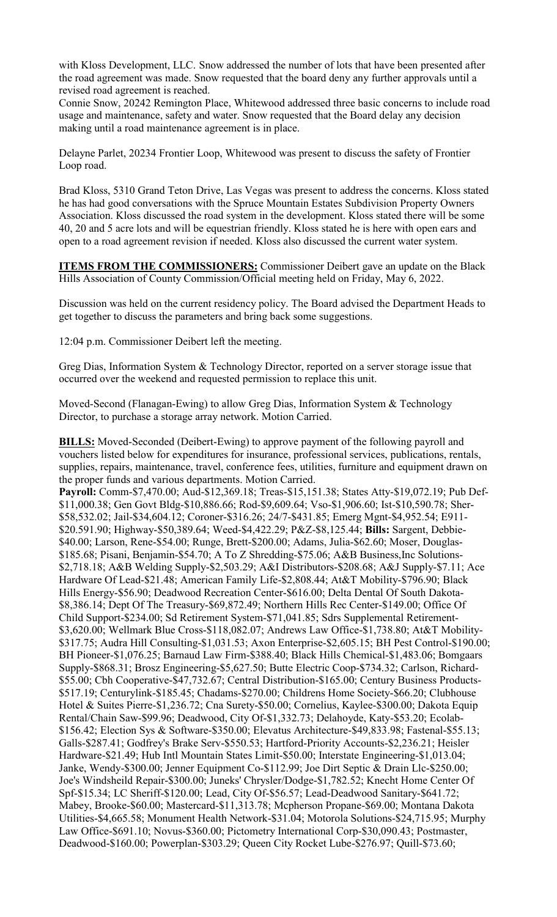with Kloss Development, LLC. Snow addressed the number of lots that have been presented after the road agreement was made. Snow requested that the board deny any further approvals until a revised road agreement is reached.

Connie Snow, 20242 Remington Place, Whitewood addressed three basic concerns to include road usage and maintenance, safety and water. Snow requested that the Board delay any decision making until a road maintenance agreement is in place.

Delayne Parlet, 20234 Frontier Loop, Whitewood was present to discuss the safety of Frontier Loop road.

Brad Kloss, 5310 Grand Teton Drive, Las Vegas was present to address the concerns. Kloss stated he has had good conversations with the Spruce Mountain Estates Subdivision Property Owners Association. Kloss discussed the road system in the development. Kloss stated there will be some 40, 20 and 5 acre lots and will be equestrian friendly. Kloss stated he is here with open ears and open to a road agreement revision if needed. Kloss also discussed the current water system.

**ITEMS FROM THE COMMISSIONERS:** Commissioner Deibert gave an update on the Black Hills Association of County Commission/Official meeting held on Friday, May 6, 2022.

Discussion was held on the current residency policy. The Board advised the Department Heads to get together to discuss the parameters and bring back some suggestions.

12:04 p.m. Commissioner Deibert left the meeting.

Greg Dias, Information System & Technology Director, reported on a server storage issue that occurred over the weekend and requested permission to replace this unit.

Moved-Second (Flanagan-Ewing) to allow Greg Dias, Information System & Technology Director, to purchase a storage array network. Motion Carried.

**BILLS:** Moved-Seconded (Deibert-Ewing) to approve payment of the following payroll and vouchers listed below for expenditures for insurance, professional services, publications, rentals, supplies, repairs, maintenance, travel, conference fees, utilities, furniture and equipment drawn on the proper funds and various departments. Motion Carried.

**Payroll:** Comm-\$7,470.00; Aud-\$12,369.18; Treas-\$15,151.38; States Atty-\$19,072.19; Pub Def- \$11,000.38; Gen Govt Bldg-\$10,886.66; Rod-\$9,609.64; Vso-\$1,906.60; Ist-\$10,590.78; Sher- \$58,532.02; Jail-\$34,604.12; Coroner-\$316.26; 24/7-\$431.85; Emerg Mgnt-\$4,952.54; E911- \$20.591.90; Highway-\$50,389.64; Weed-\$4,422.29; P&Z-\$8,125.44; **Bills:** Sargent, Debbie- \$40.00; Larson, Rene-\$54.00; Runge, Brett-\$200.00; Adams, Julia-\$62.60; Moser, Douglas- \$185.68; Pisani, Benjamin-\$54.70; A To Z Shredding-\$75.06; A&B Business,Inc Solutions- \$2,718.18; A&B Welding Supply-\$2,503.29; A&I Distributors-\$208.68; A&J Supply-\$7.11; Ace Hardware Of Lead-\$21.48; American Family Life-\$2,808.44; At&T Mobility-\$796.90; Black Hills Energy-\$56.90; Deadwood Recreation Center-\$616.00; Delta Dental Of South Dakota- \$8,386.14; Dept Of The Treasury-\$69,872.49; Northern Hills Rec Center-\$149.00; Office Of Child Support-\$234.00; Sd Retirement System-\$71,041.85; Sdrs Supplemental Retirement- \$3,620.00; Wellmark Blue Cross-\$118,082.07; Andrews Law Office-\$1,738.80; At&T Mobility- \$317.75; Audra Hill Consulting-\$1,031.53; Axon Enterprise-\$2,605.15; BH Pest Control-\$190.00; BH Pioneer-\$1,076.25; Barnaud Law Firm-\$388.40; Black Hills Chemical-\$1,483.06; Bomgaars Supply-\$868.31; Brosz Engineering-\$5,627.50; Butte Electric Coop-\$734.32; Carlson, Richard- \$55.00; Cbh Cooperative-\$47,732.67; Central Distribution-\$165.00; Century Business Products- \$517.19; Centurylink-\$185.45; Chadams-\$270.00; Childrens Home Society-\$66.20; Clubhouse Hotel & Suites Pierre-\$1,236.72; Cna Surety-\$50.00; Cornelius, Kaylee-\$300.00; Dakota Equip Rental/Chain Saw-\$99.96; Deadwood, City Of-\$1,332.73; Delahoyde, Katy-\$53.20; Ecolab- \$156.42; Election Sys & Software-\$350.00; Elevatus Architecture-\$49,833.98; Fastenal-\$55.13; Galls-\$287.41; Godfrey's Brake Serv-\$550.53; Hartford-Priority Accounts-\$2,236.21; Heisler Hardware-\$21.49; Hub Intl Mountain States Limit-\$50.00; Interstate Engineering-\$1,013.04; Janke, Wendy-\$300.00; Jenner Equipment Co-\$112.99; Joe Dirt Septic & Drain Llc-\$250.00; Joe's Windsheild Repair-\$300.00; Juneks' Chrysler/Dodge-\$1,782.52; Knecht Home Center Of Spf-\$15.34; LC Sheriff-\$120.00; Lead, City Of-\$56.57; Lead-Deadwood Sanitary-\$641.72; Mabey, Brooke-\$60.00; Mastercard-\$11,313.78; Mcpherson Propane-\$69.00; Montana Dakota Utilities-\$4,665.58; Monument Health Network-\$31.04; Motorola Solutions-\$24,715.95; Murphy Law Office-\$691.10; Novus-\$360.00; Pictometry International Corp-\$30,090.43; Postmaster, Deadwood-\$160.00; Powerplan-\$303.29; Queen City Rocket Lube-\$276.97; Quill-\$73.60;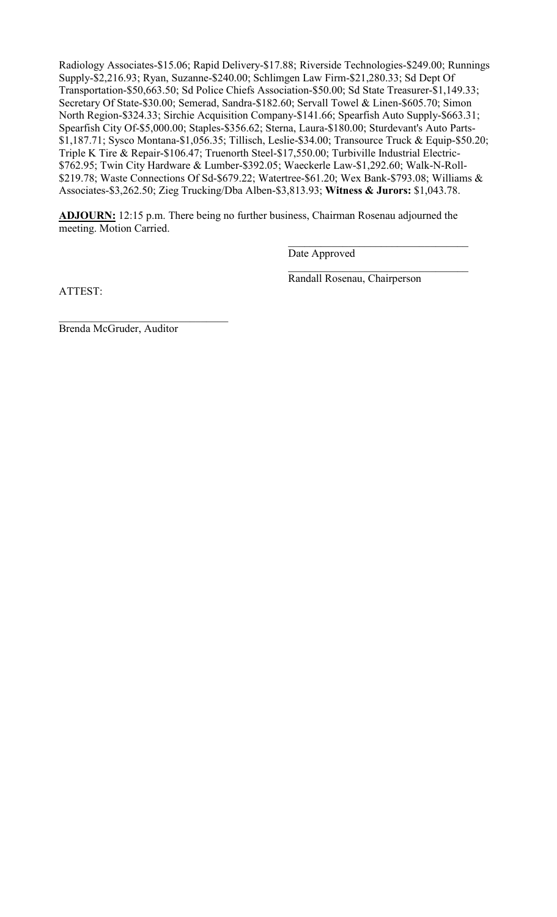Radiology Associates-\$15.06; Rapid Delivery-\$17.88; Riverside Technologies-\$249.00; Runnings Supply-\$2,216.93; Ryan, Suzanne-\$240.00; Schlimgen Law Firm-\$21,280.33; Sd Dept Of Transportation-\$50,663.50; Sd Police Chiefs Association-\$50.00; Sd State Treasurer-\$1,149.33; Secretary Of State-\$30.00; Semerad, Sandra-\$182.60; Servall Towel & Linen-\$605.70; Simon North Region-\$324.33; Sirchie Acquisition Company-\$141.66; Spearfish Auto Supply-\$663.31; Spearfish City Of-\$5,000.00; Staples-\$356.62; Sterna, Laura-\$180.00; Sturdevant's Auto Parts- \$1,187.71; Sysco Montana-\$1,056.35; Tillisch, Leslie-\$34.00; Transource Truck & Equip-\$50.20; Triple K Tire & Repair-\$106.47; Truenorth Steel-\$17,550.00; Turbiville Industrial Electric- \$762.95; Twin City Hardware & Lumber-\$392.05; Waeckerle Law-\$1,292.60; Walk-N-Roll- \$219.78; Waste Connections Of Sd-\$679.22; Watertree-\$61.20; Wex Bank-\$793.08; Williams & Associates-\$3,262.50; Zieg Trucking/Dba Alben-\$3,813.93; **Witness & Jurors:** \$1,043.78.

**ADJOURN:** 12:15 p.m. There being no further business, Chairman Rosenau adjourned the meeting. Motion Carried.

 $\frac{1}{\sqrt{2}}$  ,  $\frac{1}{\sqrt{2}}$  ,  $\frac{1}{\sqrt{2}}$  ,  $\frac{1}{\sqrt{2}}$  ,  $\frac{1}{\sqrt{2}}$  ,  $\frac{1}{\sqrt{2}}$  ,  $\frac{1}{\sqrt{2}}$  ,  $\frac{1}{\sqrt{2}}$  ,  $\frac{1}{\sqrt{2}}$  ,  $\frac{1}{\sqrt{2}}$  ,  $\frac{1}{\sqrt{2}}$  ,  $\frac{1}{\sqrt{2}}$  ,  $\frac{1}{\sqrt{2}}$  ,  $\frac{1}{\sqrt{2}}$  ,  $\frac{1}{\sqrt{2}}$ 

 $\frac{1}{\sqrt{2}}$  ,  $\frac{1}{\sqrt{2}}$  ,  $\frac{1}{\sqrt{2}}$  ,  $\frac{1}{\sqrt{2}}$  ,  $\frac{1}{\sqrt{2}}$  ,  $\frac{1}{\sqrt{2}}$  ,  $\frac{1}{\sqrt{2}}$  ,  $\frac{1}{\sqrt{2}}$  ,  $\frac{1}{\sqrt{2}}$  ,  $\frac{1}{\sqrt{2}}$  ,  $\frac{1}{\sqrt{2}}$  ,  $\frac{1}{\sqrt{2}}$  ,  $\frac{1}{\sqrt{2}}$  ,  $\frac{1}{\sqrt{2}}$  ,  $\frac{1}{\sqrt{2}}$ 

Date Approved

ATTEST:

Randall Rosenau, Chairperson

Brenda McGruder, Auditor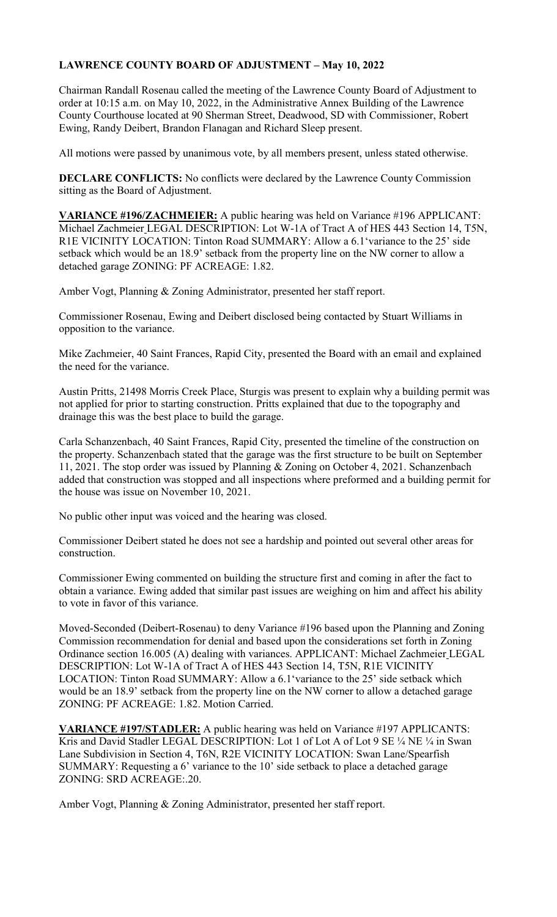## **LAWRENCE COUNTY BOARD OF ADJUSTMENT – May 10, 2022**

Chairman Randall Rosenau called the meeting of the Lawrence County Board of Adjustment to order at 10:15 a.m. on May 10, 2022, in the Administrative Annex Building of the Lawrence County Courthouse located at 90 Sherman Street, Deadwood, SD with Commissioner, Robert Ewing, Randy Deibert, Brandon Flanagan and Richard Sleep present.

All motions were passed by unanimous vote, by all members present, unless stated otherwise.

**DECLARE CONFLICTS:** No conflicts were declared by the Lawrence County Commission sitting as the Board of Adjustment.

**VARIANCE #196/ZACHMEIER:** A public hearing was held on Variance #196 APPLICANT: Michael Zachmeier LEGAL DESCRIPTION: Lot W-1A of Tract A of HES 443 Section 14, T5N, R1E VICINITY LOCATION: Tinton Road SUMMARY: Allow a 6.1'variance to the 25' side setback which would be an 18.9' setback from the property line on the NW corner to allow a detached garage ZONING: PF ACREAGE: 1.82.

Amber Vogt, Planning & Zoning Administrator, presented her staff report.

Commissioner Rosenau, Ewing and Deibert disclosed being contacted by Stuart Williams in opposition to the variance.

Mike Zachmeier, 40 Saint Frances, Rapid City, presented the Board with an email and explained the need for the variance.

Austin Pritts, 21498 Morris Creek Place, Sturgis was present to explain why a building permit was not applied for prior to starting construction. Pritts explained that due to the topography and drainage this was the best place to build the garage.

Carla Schanzenbach, 40 Saint Frances, Rapid City, presented the timeline of the construction on the property. Schanzenbach stated that the garage was the first structure to be built on September 11, 2021. The stop order was issued by Planning & Zoning on October 4, 2021. Schanzenbach added that construction was stopped and all inspections where preformed and a building permit for the house was issue on November 10, 2021.

No public other input was voiced and the hearing was closed.

Commissioner Deibert stated he does not see a hardship and pointed out several other areas for construction.

Commissioner Ewing commented on building the structure first and coming in after the fact to obtain a variance. Ewing added that similar past issues are weighing on him and affect his ability to vote in favor of this variance.

Moved-Seconded (Deibert-Rosenau) to deny Variance #196 based upon the Planning and Zoning Commission recommendation for denial and based upon the considerations set forth in Zoning Ordinance section 16.005 (A) dealing with variances. APPLICANT: Michael Zachmeier LEGAL DESCRIPTION: Lot W-1A of Tract A of HES 443 Section 14, T5N, R1E VICINITY LOCATION: Tinton Road SUMMARY: Allow a 6.1'variance to the 25' side setback which would be an 18.9' setback from the property line on the NW corner to allow a detached garage ZONING: PF ACREAGE: 1.82. Motion Carried.

**VARIANCE #197/STADLER:** A public hearing was held on Variance #197 APPLICANTS: Kris and David Stadler LEGAL DESCRIPTION: Lot 1 of Lot A of Lot 9 SE ¼ NE ¼ in Swan Lane Subdivision in Section 4, T6N, R2E VICINITY LOCATION: Swan Lane/Spearfish SUMMARY: Requesting a 6' variance to the 10' side setback to place a detached garage ZONING: SRD ACREAGE:.20.

Amber Vogt, Planning & Zoning Administrator, presented her staff report.